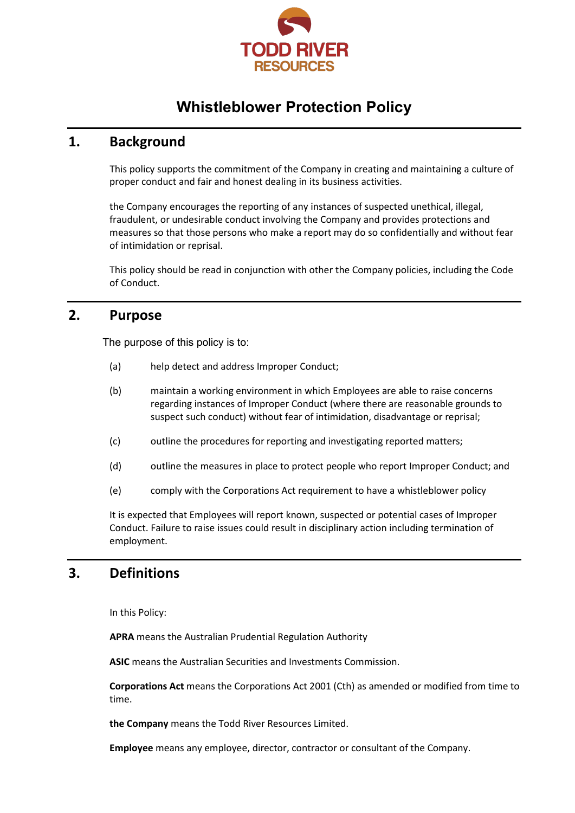

# **Whistleblower Protection Policy**

## **1. Background**

This policy supports the commitment of the Company in creating and maintaining a culture of proper conduct and fair and honest dealing in its business activities.

the Company encourages the reporting of any instances of suspected unethical, illegal, fraudulent, or undesirable conduct involving the Company and provides protections and measures so that those persons who make a report may do so confidentially and without fear of intimidation or reprisal.

This policy should be read in conjunction with other the Company policies, including the Code of Conduct.

## **2. Purpose**

The purpose of this policy is to:

- (a) help detect and address Improper Conduct;
- (b) maintain a working environment in which Employees are able to raise concerns regarding instances of Improper Conduct (where there are reasonable grounds to suspect such conduct) without fear of intimidation, disadvantage or reprisal;
- (c) outline the procedures for reporting and investigating reported matters;
- (d) outline the measures in place to protect people who report Improper Conduct; and
- (e) comply with the Corporations Act requirement to have a whistleblower policy

It is expected that Employees will report known, suspected or potential cases of Improper Conduct. Failure to raise issues could result in disciplinary action including termination of employment.

## **3. Definitions**

In this Policy:

**APRA** means the Australian Prudential Regulation Authority

**ASIC** means the Australian Securities and Investments Commission.

**Corporations Act** means the Corporations Act 2001 (Cth) as amended or modified from time to time.

**the Company** means the Todd River Resources Limited.

**Employee** means any employee, director, contractor or consultant of the Company.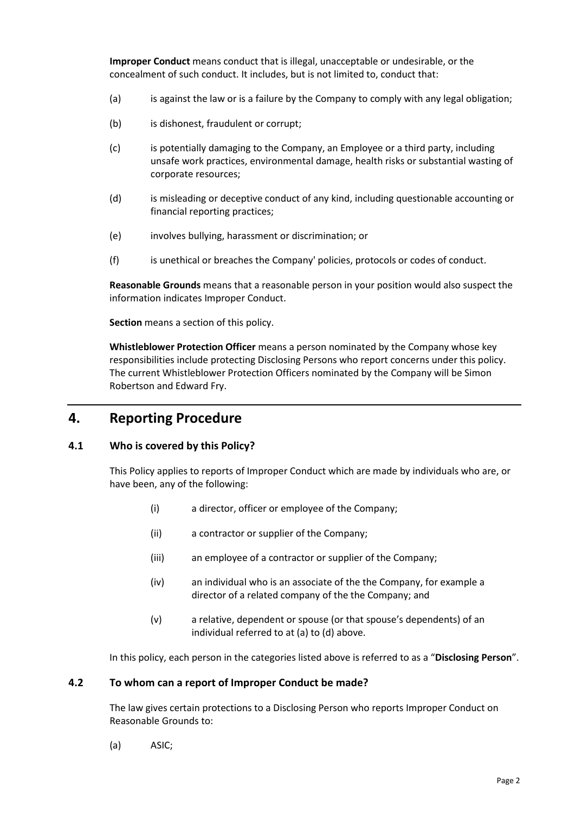**Improper Conduct** means conduct that is illegal, unacceptable or undesirable, or the concealment of such conduct. It includes, but is not limited to, conduct that:

- (a) is against the law or is a failure by the Company to comply with any legal obligation;
- (b) is dishonest, fraudulent or corrupt:
- (c) is potentially damaging to the Company, an Employee or a third party, including unsafe work practices, environmental damage, health risks or substantial wasting of corporate resources;
- (d) is misleading or deceptive conduct of any kind, including questionable accounting or financial reporting practices;
- (e) involves bullying, harassment or discrimination; or
- (f) is unethical or breaches the Company' policies, protocols or codes of conduct.

**Reasonable Grounds** means that a reasonable person in your position would also suspect the information indicates Improper Conduct.

**Section** means a section of this policy.

**Whistleblower Protection Officer** means a person nominated by the Company whose key responsibilities include protecting Disclosing Persons who report concerns under this policy. The current Whistleblower Protection Officers nominated by the Company will be Simon Robertson and Edward Fry.

## **4. Reporting Procedure**

### **4.1 Who is covered by this Policy?**

This Policy applies to reports of Improper Conduct which are made by individuals who are, or have been, any of the following:

- (i) a director, officer or employee of the Company;
- (ii) a contractor or supplier of the Company;
- (iii) an employee of a contractor or supplier of the Company;
- (iv) an individual who is an associate of the the Company, for example a director of a related company of the the Company; and
- (v) a relative, dependent or spouse (or that spouse's dependents) of an individual referred to at (a) to (d) above.

In this policy, each person in the categories listed above is referred to as a "**Disclosing Person**".

#### **4.2 To whom can a report of Improper Conduct be made?**

The law gives certain protections to a Disclosing Person who reports Improper Conduct on Reasonable Grounds to:

(a) ASIC;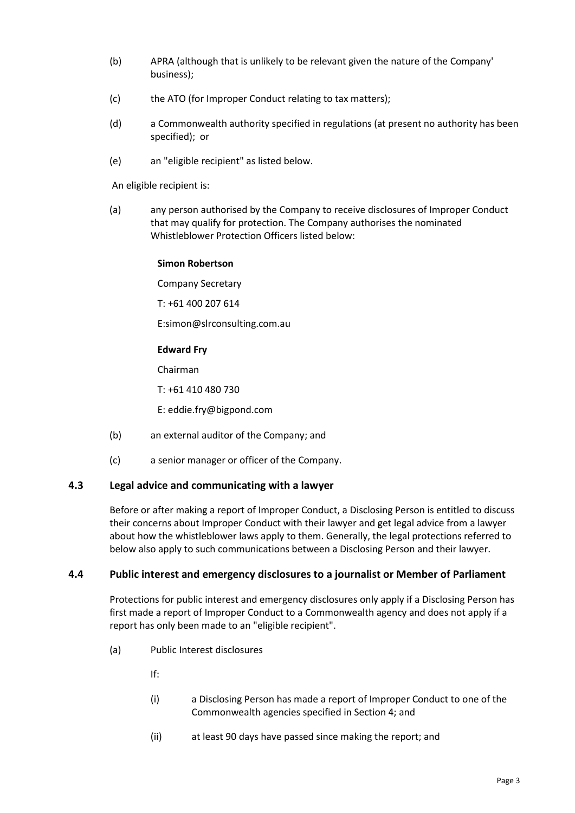- (b) APRA (although that is unlikely to be relevant given the nature of the Company' business);
- (c) the ATO (for Improper Conduct relating to tax matters);
- (d) a Commonwealth authority specified in regulations (at present no authority has been specified); or
- (e) an "eligible recipient" as listed below.

An eligible recipient is:

(a) any person authorised by the Company to receive disclosures of Improper Conduct that may qualify for protection. The Company authorises the nominated Whistleblower Protection Officers listed below:

#### **Simon Robertson**

Company Secretary

T: +61 400 207 614

E:simon@slrconsulting.com.au

#### **Edward Fry**

Chairman

T: +61 410 480 730

E: eddie.fry@bigpond.com

- (b) an external auditor of the Company; and
- (c) a senior manager or officer of the Company.

#### **4.3 Legal advice and communicating with a lawyer**

Before or after making a report of Improper Conduct, a Disclosing Person is entitled to discuss their concerns about Improper Conduct with their lawyer and get legal advice from a lawyer about how the whistleblower laws apply to them. Generally, the legal protections referred to below also apply to such communications between a Disclosing Person and their lawyer.

#### **4.4 Public interest and emergency disclosures to a journalist or Member of Parliament**

Protections for public interest and emergency disclosures only apply if a Disclosing Person has first made a report of Improper Conduct to a Commonwealth agency and does not apply if a report has only been made to an "eligible recipient".

(a) Public Interest disclosures

If:

- (i) a Disclosing Person has made a report of Improper Conduct to one of the Commonwealth agencies specified in Section 4; and
- (ii) at least 90 days have passed since making the report; and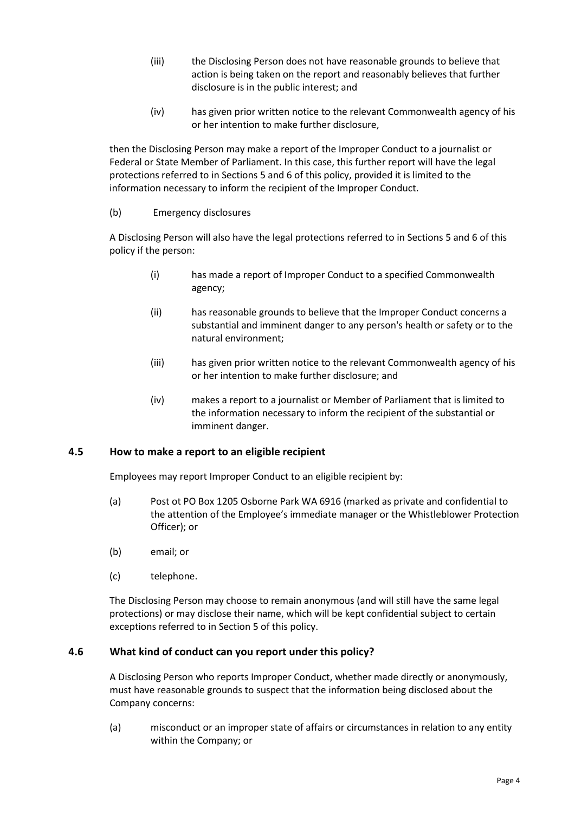- (iii) the Disclosing Person does not have reasonable grounds to believe that action is being taken on the report and reasonably believes that further disclosure is in the public interest; and
- (iv) has given prior written notice to the relevant Commonwealth agency of his or her intention to make further disclosure,

then the Disclosing Person may make a report of the Improper Conduct to a journalist or Federal or State Member of Parliament. In this case, this further report will have the legal protections referred to in Sections 5 and 6 of this policy, provided it is limited to the information necessary to inform the recipient of the Improper Conduct.

### (b) Emergency disclosures

A Disclosing Person will also have the legal protections referred to in Sections 5 and 6 of this policy if the person:

- (i) has made a report of Improper Conduct to a specified Commonwealth agency;
- (ii) has reasonable grounds to believe that the Improper Conduct concerns a substantial and imminent danger to any person's health or safety or to the natural environment;
- (iii) has given prior written notice to the relevant Commonwealth agency of his or her intention to make further disclosure; and
- (iv) makes a report to a journalist or Member of Parliament that is limited to the information necessary to inform the recipient of the substantial or imminent danger.

## **4.5 How to make a report to an eligible recipient**

Employees may report Improper Conduct to an eligible recipient by:

- (a) Post ot PO Box 1205 Osborne Park WA 6916 (marked as private and confidential to the attention of the Employee's immediate manager or the Whistleblower Protection Officer); or
- (b) email; or
- (c) telephone.

The Disclosing Person may choose to remain anonymous (and will still have the same legal protections) or may disclose their name, which will be kept confidential subject to certain exceptions referred to in Section 5 of this policy.

## **4.6 What kind of conduct can you report under this policy?**

A Disclosing Person who reports Improper Conduct, whether made directly or anonymously, must have reasonable grounds to suspect that the information being disclosed about the Company concerns:

(a) misconduct or an improper state of affairs or circumstances in relation to any entity within the Company; or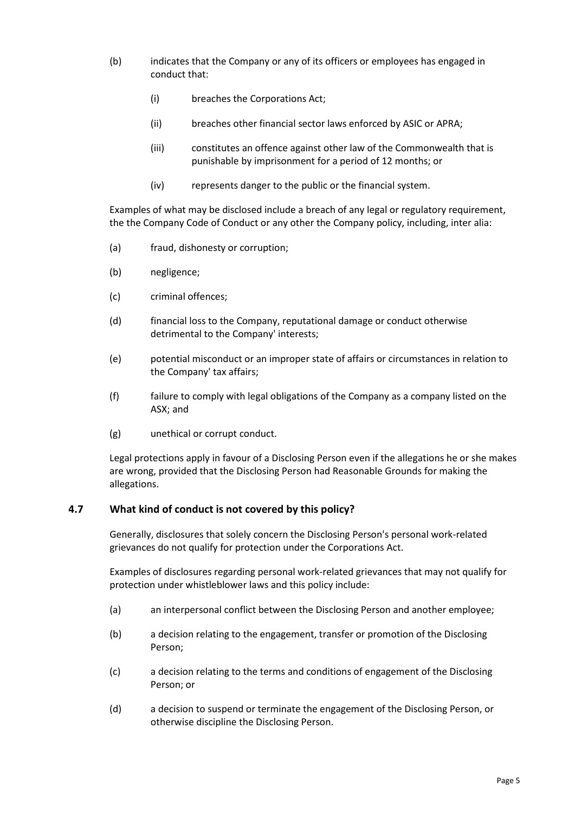- (b) indicates that the Company or any of its officers or employees has engaged in conduct that:
	- (i) breaches the Corporations Act;
	- (ii) breaches other financial sector laws enforced by ASIC or APRA;
	- (iii) constitutes an offence against other law of the Commonwealth that is punishable by imprisonment for a period of 12 months; or
	- (iv) represents danger to the public or the financial system.

Examples of what may be disclosed include a breach of any legal or regulatory requirement, the the Company Code of Conduct or any other the Company policy, including, inter alia:

- (a) fraud, dishonesty or corruption;
- (b) negligence;
- (c) criminal offences;
- (d) financial loss to the Company, reputational damage or conduct otherwise detrimental to the Company' interests;
- (e) potential misconduct or an improper state of affairs or circumstances in relation to the Company' tax affairs;
- (f) failure to comply with legal obligations of the Company as a company listed on the ASX; and
- (g) unethical or corrupt conduct.

Legal protections apply in favour of a Disclosing Person even if the allegations he or she makes are wrong, provided that the Disclosing Person had Reasonable Grounds for making the allegations.

### **4.7 What kind of conduct is not covered by this policy?**

Generally, disclosures that solely concern the Disclosing Person's personal work-related grievances do not qualify for protection under the Corporations Act.

Examples of disclosures regarding personal work-related grievances that may not qualify for protection under whistleblower laws and this policy include:

- (a) an interpersonal conflict between the Disclosing Person and another employee;
- (b) a decision relating to the engagement, transfer or promotion of the Disclosing Person;
- (c) a decision relating to the terms and conditions of engagement of the Disclosing Person; or
- (d) a decision to suspend or terminate the engagement of the Disclosing Person, or otherwise discipline the Disclosing Person.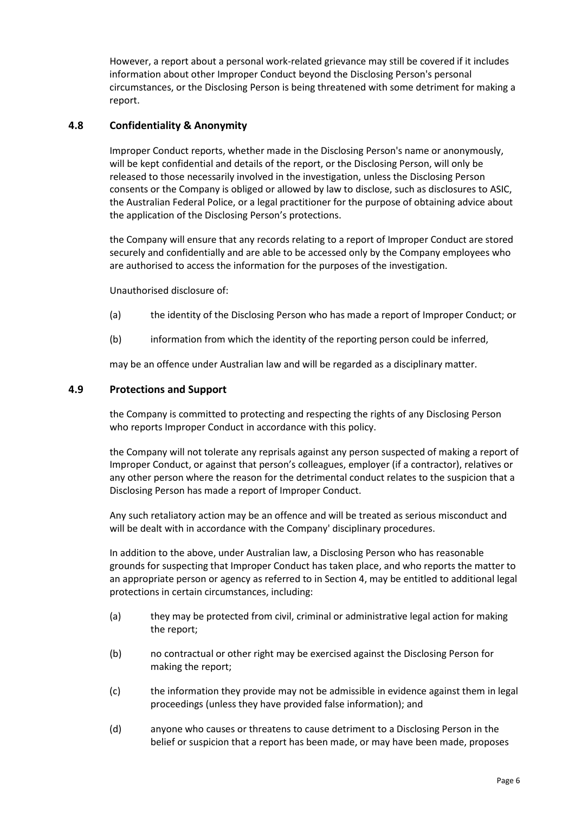However, a report about a personal work-related grievance may still be covered if it includes information about other Improper Conduct beyond the Disclosing Person's personal circumstances, or the Disclosing Person is being threatened with some detriment for making a report.

## **4.8 Confidentiality & Anonymity**

Improper Conduct reports, whether made in the Disclosing Person's name or anonymously, will be kept confidential and details of the report, or the Disclosing Person, will only be released to those necessarily involved in the investigation, unless the Disclosing Person consents or the Company is obliged or allowed by law to disclose, such as disclosures to ASIC, the Australian Federal Police, or a legal practitioner for the purpose of obtaining advice about the application of the Disclosing Person's protections.

the Company will ensure that any records relating to a report of Improper Conduct are stored securely and confidentially and are able to be accessed only by the Company employees who are authorised to access the information for the purposes of the investigation.

Unauthorised disclosure of:

- (a) the identity of the Disclosing Person who has made a report of Improper Conduct; or
- (b) information from which the identity of the reporting person could be inferred,

may be an offence under Australian law and will be regarded as a disciplinary matter.

#### **4.9 Protections and Support**

the Company is committed to protecting and respecting the rights of any Disclosing Person who reports Improper Conduct in accordance with this policy.

the Company will not tolerate any reprisals against any person suspected of making a report of Improper Conduct, or against that person's colleagues, employer (if a contractor), relatives or any other person where the reason for the detrimental conduct relates to the suspicion that a Disclosing Person has made a report of Improper Conduct.

Any such retaliatory action may be an offence and will be treated as serious misconduct and will be dealt with in accordance with the Company' disciplinary procedures.

In addition to the above, under Australian law, a Disclosing Person who has reasonable grounds for suspecting that Improper Conduct has taken place, and who reports the matter to an appropriate person or agency as referred to in Section 4, may be entitled to additional legal protections in certain circumstances, including:

- (a) they may be protected from civil, criminal or administrative legal action for making the report;
- (b) no contractual or other right may be exercised against the Disclosing Person for making the report;
- (c) the information they provide may not be admissible in evidence against them in legal proceedings (unless they have provided false information); and
- (d) anyone who causes or threatens to cause detriment to a Disclosing Person in the belief or suspicion that a report has been made, or may have been made, proposes